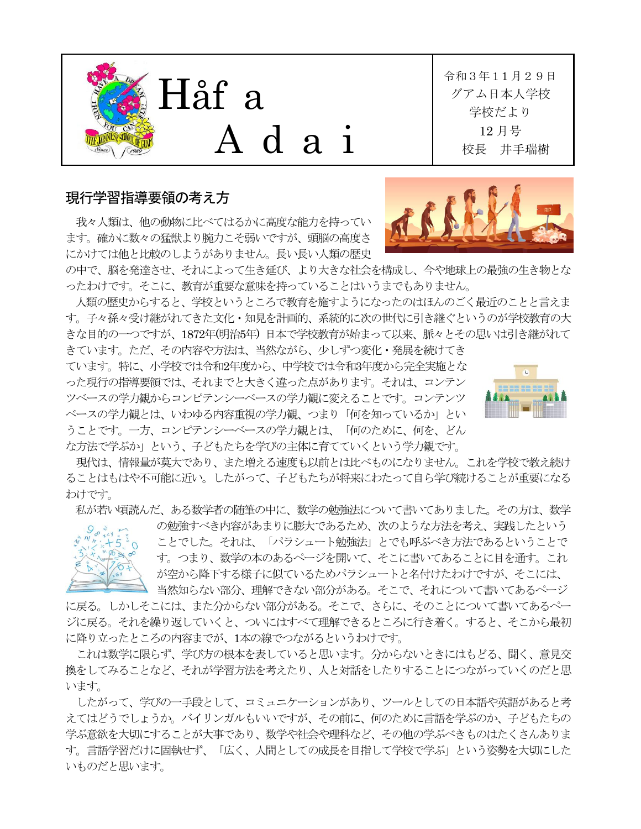

## 現行学習指導要領の考え方

我々人類は、他の動物に比べてはるかに高度な能力を持ってい ます。確かに数々の猛獣より腕力こそ弱いですが、頭脳の高度さ にかけては他と比較のしようがありません。長い長い人類の歴史

令和3年11月29日 グアム日本人学校 学校だより 12 月号 校長 井手瑞樹



の中で、脳を発達させ、それによって生き延び、より大きな社会を構成し、今や地球上の最強の生き物とな ったわけです。そこに、教育が重要な意味を持っていることはいうまでもありません。

人㢮の歴史からすると、学校というところで教育を施すようになったのはほんのごく最近のことと言えま す。子々孫々受け継がれてきた文化・知見を計画的、系統的に次の世代に引き継ぐというのが学校教育の大 きな目的の一つですが、1872年(明治5年) 日本で学校教育が始まって以来、脈々とその思いは引き継がれて

きています。ただ、その内容や方法は、当然ながら、少しずつ変化・発展を続けてき ています。特に、小学校では令和2年度から、中学校では令和3年度から完全実施とな った現行の指導要㡿では、それまでと大きく違った点があります。それは、コンテン ツベースの学力観からコンピテンシーベースの学力観に変えることです。コンテンツ ベースの学力観とは、いわゆる内容重視の学力観、つまり「何を知っているか」とい うことです。一方、コンピテンシーベースの学力観とは、「何のために、何を、どん な方法で学ぶか」という、子どもたちを学びの主体に育てていくという学力観です。



現代は、情報量が莫大であり、また増える速度も以前とは比べものになりません。これを学校で教え続け ることはもはや不可能に近い。したがって、子どもたちが将来にわたって自ら学び続けることが重要になる わけです。

私が若い㡭読んだ、ある数学者の㝶筆の中に、数学の勉強法について書いてありました。その方は、数学



の勉強すべき内容があまりに膨大であるため、次のような方法を考え、実践したという ことでした。それは、「パラシュート勉強法」とでも呼ぶべき方法であるということで す。つまり、数学の本のあるページを開いて、そこに書いてあることに目を通す。これ が空から㝆下する様子に似ているためパラシュートと名付けたわけですが、そこには、 当然知らない部分、理解できない部分がある。そこで、それについて書いてあるページ

に戻る。しかしそこには、また分からない部分がある。そこで、さらに、そのことについて書いてあるペー ジに戻る。それを繰り返していくと、ついにはすべて理解できるところに行き着く。すると、そこから最初 に㝆り立ったところの内容までが、1本の線でつながるというわけです。

これは数学に㝈らず、学び方の根本を表していると思います。分からないときにはもどる、聞く、意見交 換をしてみることなど、それが学習方法を考えたり、人と対話をしたりすることにつながっていくのだと思 います。

したがって、学びの一手段として、コミュニケーションがあり、ツールとしての日本語や英語があると考 えてはどうでしょうか。バイリンガルもいいですが、その前に、何のために言語を学ぶのか、子どもたちの 学ぶ意欲を大切にすることが大事であり、数学や社会や理科など、その他の学ぶべきものはたくさんありま す。言語学習だけに固執せず、「広く、人㛫としての成長を目指して学校で学ぶ」という姿勢を大切にした いものだと思います。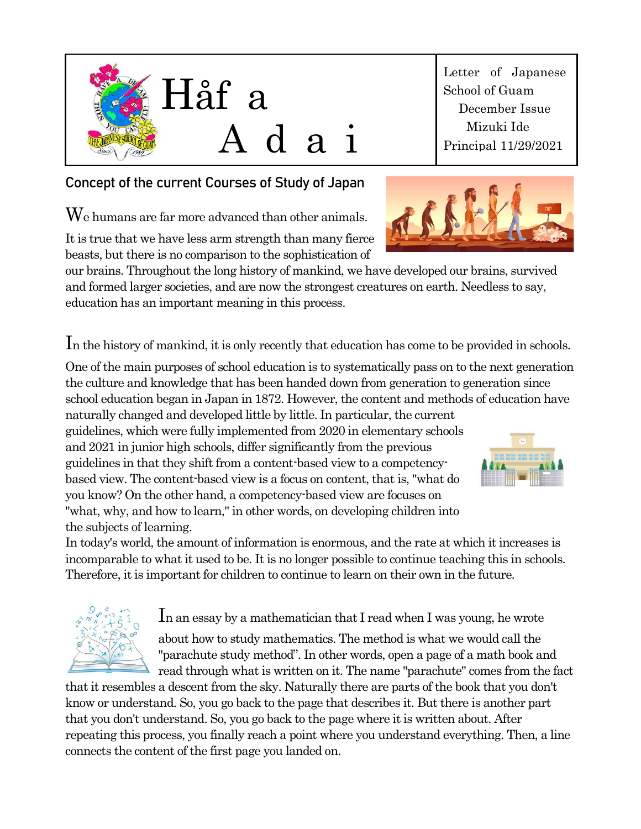

## **Concept of the current Courses of Study of Japan**

We humans are far more advanced than other animals.

It is true that we have less arm strength than many fierce beasts, but there is no comparison to the sophistication of

our brains. Throughout the long history of mankind, we have developed our brains, survived and formed larger societies, and are now the strongest creatures on earth. Needless to say, education has an important meaning in this process.

In the history of mankind, it is only recently that education has come to be provided in schools.

One of the main purposes of school education is to systematically pass on to the next generation the culture and knowledge that has been handed down from generation to generation since school education began in Japan in 1872. However, the content and methods of education have naturally changed and developed little by little. In particular, the current

guidelines, which were fully implemented from 2020 in elementary schools and 2021 in junior high schools, differ significantly from the previous guidelines in that they shift from a content-based view to a competencybased view. The content-based view is a focus on content, that is, "what do you know? On the other hand, a competency-based view are focuses on "what, why, and how to learn," in other words, on developing children into the subjects of learning.

In today's world, the amount of information is enormous, and the rate at which it increases is incomparable to what it used to be. It is no longer possible to continue teaching this in schools. Therefore, it is important for children to continue to learn on their own in the future.

In an essay by a mathematician that I read when I was young, he wrote

about how to study mathematics. The method is what we would call the "parachute study method". In other words, open a page of a math book and read through what is written on it. The name "parachute" comes from the fact

that it resembles a descent from the sky. Naturally there are parts of the book that you don't know or understand. So, you go back to the page that describes it. But there is another part that you don't understand. So, you go back to the page where it is written about. After repeating this process, you finally reach a point where you understand everything. Then, a line connects the content of the first page you landed on.

Letter of Japanese School of Guam December Issue Mizuki Ide Principal 11/29/2021